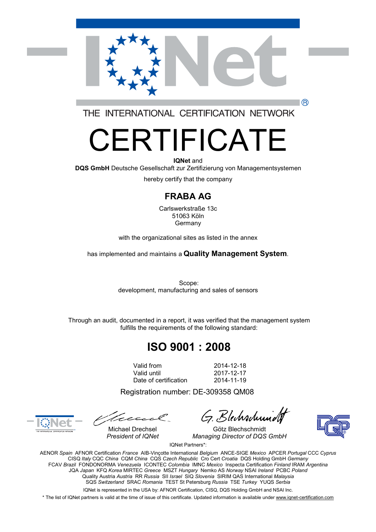

THE INTERNATIONAL CERTIFICATION NETWORK

# FRTIFICATE

**IQNet** and **DQS GmbH** Deutsche Gesellschaft zur Zertifizierung von Managementsystemen

hereby certify that the company

#### **FRABA AG**

Carlswerkstraße 13c 51063 Köln Germany

with the organizational sites as listed in the annex

has implemented and maintains a **Quality Management System**.

Scope: development, manufacturing and sales of sensors

Through an audit, documented in a report, it was verified that the management system fulfills the requirements of the following standard:

## **ISO 9001 : 2008**

Valid from 2014-12-18 Date of certification 2014-11-19

2017-12-17

Registration number: DE-309358 QM08

tecc

G. Blechschung

Michael Drechsel Götz Blechschmidt *President of IQNet Managing Director of DQS GmbH*



(R)

IQNet Partners\*:

AENOR *Spain* AFNOR Certification *France* AIB-Vinçotte International *Belgium* ANCE-SIGE *Mexico* APCER *Portugal* CCC *Cyprus* CISQ *Italy* CQC *China* CQM *China* CQS *Czech Republic* Cro Cert *Croatia* DQS Holding GmbH *Germany* FCAV *Brazil* FONDONORMA *Venezuela* ICONTEC *Colombia* IMNC *Mexico* Inspecta Certification *Finland* IRAM *Argentina* JQA *Japan* KFQ *Korea* MIRTEC *Greece* MSZT *Hungary* Nemko AS *Norway* NSAI *Ireland* PCBC *Poland* Quality Austria *Austria* RR *Russia* SII *Israel* SIQ *Slovenia* SIRIM QAS International *Malaysia* SQS *Switzerland* SRAC *Romania* TEST St Petersburg *Russia* TSE *Turkey* YUQS *Serbia*

IQNet is represented in the USA by: AFNOR Certification, CISQ, DQS Holding GmbH and NSAI Inc.

\* The list of IQNet partners is valid at the time of issue of this certificate. Updated information is available under [www.iqnet-certification.com](http://www.iqnet-certification.com)